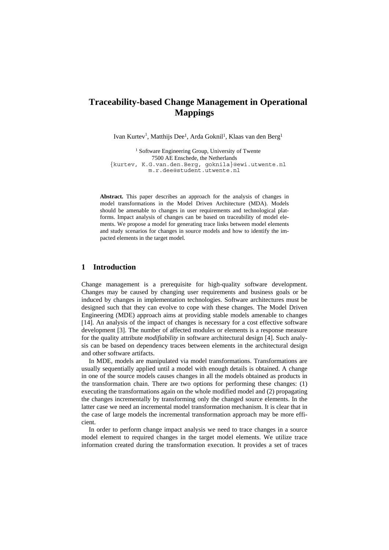# **Traceability-based Change Management in Operational Mappings**

Ivan Kurtev<sup>1</sup>, Matthijs Dee<sup>1</sup>, Arda Goknil<sup>1</sup>, Klaas van den Berg<sup>1</sup>

<sup>1</sup> Software Engineering Group, University of Twente 7500 AE Enschede, the Netherlands {kurtev, K.G.van.den.Berg, goknila}@ewi.utwente.nl m.r.dee@student.utwente.nl

**Abstract.** This paper describes an approach for the analysis of changes in model transformations in the Model Driven Architecture (MDA). Models should be amenable to changes in user requirements and technological platforms. Impact analysis of changes can be based on traceability of model elements. We propose a model for generating trace links between model elements and study scenarios for changes in source models and how to identify the impacted elements in the target model.

# **1 Introduction**

Change management is a prerequisite for high-quality software development. Changes may be caused by changing user requirements and business goals or be induced by changes in implementation technologies. Software architectures must be designed such that they can evolve to cope with these changes. The Model Driven Engineering (MDE) approach aims at providing stable models amenable to changes [\[14](#page-10-0)]. An analysis of the impact of changes is necessary for a cost effective software development [[3\]](#page-9-0). The number of affected modules or elements is a response measure for the quality attribute *modifiability* in software architectural design [[4](#page-9-1)]. Such analysis can be based on dependency traces between elements in the architectural design and other software artifacts.

In MDE, models are manipulated via model transformations. Transformations are usually sequentially applied until a model with enough details is obtained. A change in one of the source models causes changes in all the models obtained as products in the transformation chain. There are two options for performing these changes: (1) executing the transformations again on the whole modified model and (2) propagating the changes incrementally by transforming only the changed source elements. In the latter case we need an incremental model transformation mechanism. It is clear that in the case of large models the incremental transformation approach may be more efficient.

In order to perform change impact analysis we need to trace changes in a source model element to required changes in the target model elements. We utilize trace information created during the transformation execution. It provides a set of traces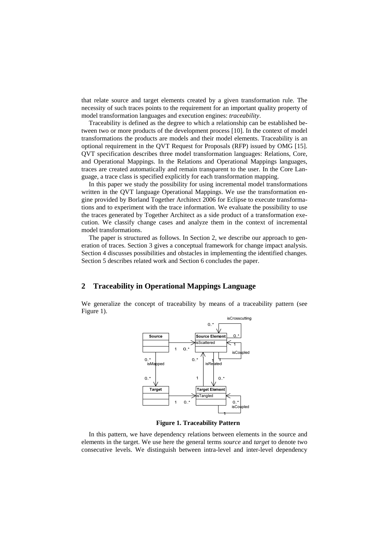that relate source and target elements created by a given transformation rule. The necessity of such traces points to the requirement for an important quality property of model transformation languages and execution engines: *traceability*.

Traceability is defined as the degree to which a relationship can be established between two or more products of the development process [[10\]](#page-10-1). In the context of model transformations the products are models and their model elements. Traceability is an optional requirement in the QVT Request for Proposals (RFP) issued by OMG [[15\]](#page-10-2). QVT specification describes three model transformation languages: Relations, Core, and Operational Mappings. In the Relations and Operational Mappings languages, traces are created automatically and remain transparent to the user. In the Core Language, a trace class is specified explicitly for each transformation mapping.

In this paper we study the possibility for using incremental model transformations written in the QVT language Operational Mappings. We use the transformation engine provided by Borland Together Architect 2006 for Eclipse to execute transformations and to experiment with the trace information. We evaluate the possibility to use the traces generated by Together Architect as a side product of a transformation execution. We classify change cases and analyze them in the context of incremental model transformations.

The paper is structured as follows. In Section [2](#page-1-0), we describe our approach to generation of traces. Section 3 gives a conceptual framework for change impact analysis. Section 4 discusses possibilities and obstacles in implementing the identified changes. Section 5 describes related work and Section 6 concludes the paper.

## <span id="page-1-0"></span>**2 Traceability in Operational Mappings Language**

We generalize the concept of traceability by means of a traceability pattern (see [Figure 1](#page-1-1)).



**Figure 1. Traceability Pattern** 

<span id="page-1-1"></span>In this pattern, we have dependency relations between elements in the source and elements in the target. We use here the general terms *source* and *target* to denote two consecutive levels. We distinguish between intra-level and inter-level dependency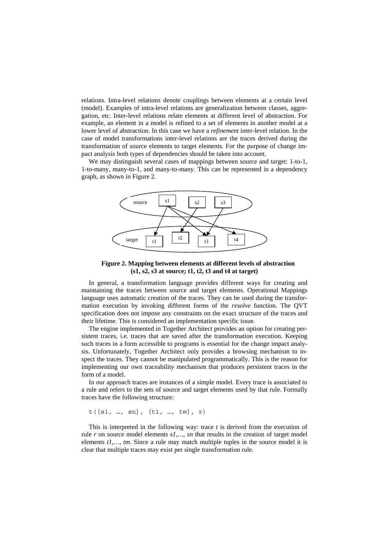relations. Intra-level relations denote couplings between elements at a certain level (model). Examples of intra-level relations are generalization between classes, aggregation, etc. Inter-level relations relate elements at different level of abstraction. For example, an element in a model is refined to a set of elements in another model at a lower level of abstraction. In this case we have a *refinement* inter-level relation. In the case of model transformations inter-level relations are the traces derived during the transformation of source elements to target elements. For the purpose of change impact analysis both types of dependencies should be taken into account.

We may distinguish several cases of mappings between source and target: 1-to-1, 1-to-many, many-to-1, and many-to-many. This can be represented in a dependency graph, as shown in [Figure 2](#page-2-0).



**Figure 2. Mapping between elements at different levels of abstraction (s1, s2, s3 at source; t1, t2, t3 and t4 at target)** 

<span id="page-2-0"></span>In general, a transformation language provides different ways for creating and maintaining the traces between source and target elements. Operational Mappings language uses automatic creation of the traces. They can be used during the transformation execution by invoking different forms of the *resolve* function. The QVT specification does not impose any constraints on the exact structure of the traces and their lifetime. This is considered an implementation specific issue.

The engine implemented in Together Architect provides an option for creating persistent traces, i.e. traces that are saved after the transformation execution. Keeping such traces in a form accessible to programs is essential for the change impact analysis. Unfortunately, Together Architect only provides a browsing mechanism to inspect the traces. They cannot be manipulated programmatically. This is the reason for implementing our own traceability mechanism that produces persistent traces in the form of a model.

In our approach traces are instances of a simple model. Every trace is associated to a rule and refers to the sets of source and target elements used by that rule. Formally traces have the following structure:

 $t([s1, ..., sn], [t1, ..., tm], r)$ 

This is interpreted in the following way: trace *t* is derived from the execution of rule *r* on source model elements *s1,…, sn* that results in the creation of target model elements *t1,…, tm*. Since a rule may match multiple tuples in the source model it is clear that multiple traces may exist per single transformation rule.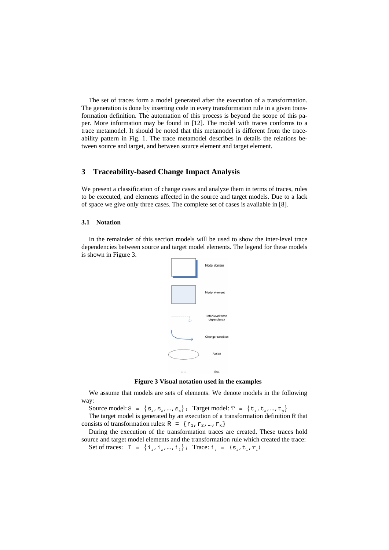The set of traces form a model generated after the execution of a transformation. The generation is done by inserting code in every transformation rule in a given transfo rmation definition. The automation of this process is beyond the scope of this paper. More information may be found in [[12\]](#page-10-3). The model with traces conforms to a trace metamodel. It should be noted that this metamodel is different from the traceability pattern in Fig. 1. The trace metamodel describes in details the relations between source and target, and between source element and target element.

# **3 Traceability-based Change Impact Analysis**

We present a classification of change cases and analyze them in terms of traces, rules to be executed, and elements affected in the source and target models. Due to a lack of space we give only three cases. The complete set of cases is available in [\[8](#page-10-4)].

#### **3.1 Notation**

In the remainder of this section models will be used to show the inter-level trace dependencies between source and target model elements. The legend for these models is shown in [Figure 3.](#page-3-0)



**Figure 3 Visual notation used in the examples** 

<span id="page-3-0"></span>We assume that models are sets of elements. We denote models in the following way:

Source model:  $S = \{s_1, s_2, ..., s_n\}$ ; Target model:  $T = \{t_1, t_2, ..., t_m\}$ 

The target model is generated by an execution of a transformation definition R that consists of transformation rules:  $R = \{r_1, r_2, ..., r_k\}$ 

source and target model elements and the transformation rule which created the trace: Set of traces:  $I = \{\text{i}_1, \text{i}_2, ..., \text{i}_1\}$ ; Trace:  $\text{i}_1 = (s_1, t_1, r_1)$ During the execution of the transformation traces are created. These traces hold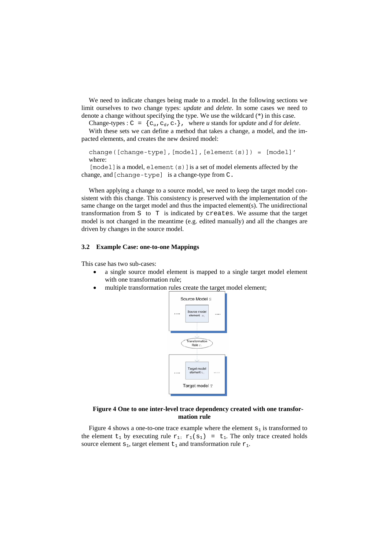We need to indicate changes being made to a model. In the following sections we limit ourselves to two change types: *update* and *delete*. In some cases we need to denote a change without specifying the type. We use the wildcard  $(*)$  in this case.

Change-types :  $C = \{c_u, c_d, c_*\}$ , where *u* stands for *update* and *d* for *delete*.

With these sets we can define a method that takes a change, a model, and the impacted elements, and creates the new desired model:

change([change-type],[model],[element(s)]) = [model]' where:

 $[model]$  is a model, element  $(s)$  ] is a set of model elements affected by the ch ange, and[change-type] is a change-type from C.

When applying a change to a source model, we need to keep the target model consistent with this change. This consistency is preserved with the implementation of the same change on the target model and thus the impacted element(s). The unidirectional tra nsformation from S to T is indicated by creates. We assume that the target model is not changed in the meantime (e.g. edited manually) and all the changes are driven by changes in the source model.

#### **3.2 Example Case: one-to-one Mappings**

This case has two sub-cases:

- a single source model element is mapped to a single target model element with one transformation rule;
- multiple transformation rules create the target model element;



#### **Figure 4 One to one inter-level trace dependency created with one transformation rule**

Figure 4 shows a one-to-one trace example where the element  $s_1$  is transformed to the element  $t_1$  by executing rule  $r_1$ :  $r_1(s_1) = t_1$ . The only trace created holds source element  $s_1$ , target element  $t_1$  and transformation rule  $r_1$ .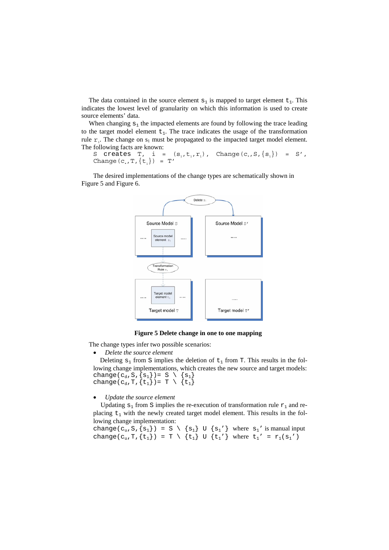The data contained in the source element  $s_1$  is mapped to target element  $t_1$ . This indicates the lowest level of granularity on which this information is used to create source elements' data.

When changing  $s_1$  the impacted elements are found by following the trace leading to the target model element  $t_1$ . The trace indicates the usage of the transformation rule  $r_1$ . The change on  $s_1$  must be propagated to the impacted target model element. Th e following facts are known:

S creates T, i =  $(s_1, t_1, r_1)$ , Change $(c_*, S, \{s_1\})$  = S', Change  $(c_*,T,\{t_1\}) = T'$ 

Figu re 5 and Figure 6. The desired implementations of the change types are schematically shown in



**Figure 5 Delete change in one to one mapping** 

The change types infer two possible scenarios:

• *Delete the source element* 

Deleting  $s_1$  from S implies the deletion of  $t_1$  from T. This results in the following change implementations, which creates the new source and target models:  $\{{\tt s}_{\scriptscriptstyle 1}\}$ ch change(c<sub>d</sub>, S, {s<sub>1</sub>})= S \ ange(c<sub>d</sub>,T,{t<sub>1</sub>})= T \ {t<sub>1</sub>}

• *Update the source element*

Updating  $s_1$  from S implies the re-execution of transformation rule  $r_1$  and replacing  $t_1$  with the newly created target model element. This results in the following change implementation:

change(c<sub>u</sub>, S, {s<sub>1</sub>}) = S \ {s<sub>1</sub>} U {s<sub>1</sub>'} where s<sub>1</sub>' is manual input change(c<sub>u</sub>,T,{t<sub>1</sub>}) = T \ {t<sub>1</sub>} U {t<sub>1</sub>'} where t<sub>1</sub>' = r<sub>1</sub>(s<sub>1</sub>')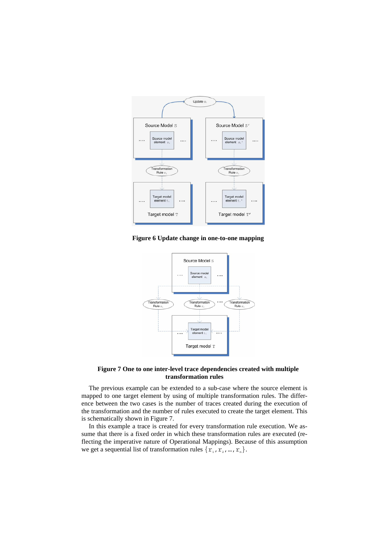

**Figure 6 Update change in one-to-one mapping** 



### **Figure 7 One to one inter-level trace dependencies created with multiple transformation rules**

<span id="page-6-0"></span>The previous example can be extended to a sub-case where the source element is mapped to one target element by using of multiple transformation rules. The difference between the two cases is the number of traces created during the execution of the transformation and the number of rules executed to create the target element. This is schematically shown in [Figure 7](#page-6-0).

flecting the imperative nature of Operational Mappings). Because of this assumption we get a sequential list of transformation rules  $\{r_1, r_2, ..., r_n\}.$ In this example a trace is created for every transformation rule execution. We assume that there is a fixed order in which these transformation rules are executed (re-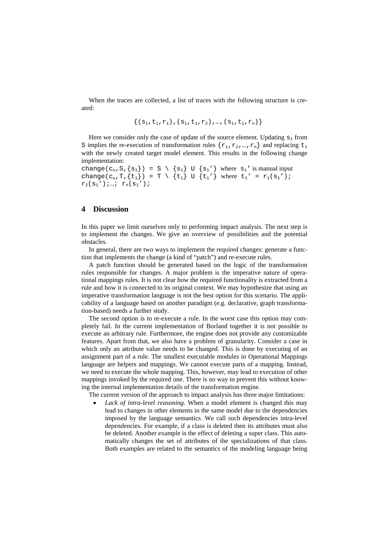When the traces are collected, a list of traces with the following structure is created:

$$
\{(s_1, t_1, r_1), (s_1, t_1, r_2), ..., (s_1, t_1, r_n)\}
$$

Here we consider only the case of update of the source element. Updating  $s_1$  from S implies the re-execution of transformation rules  $\{r_1, r_2, ..., r_n\}$  and replacing  $t_1$ with the newly created target model element. This results in the following change implementation:

change(c<sub>u</sub>, S, {s<sub>1</sub>}) = S \ {s<sub>1</sub>} U {s<sub>1</sub>'} where s<sub>1</sub>' is manual input change(c<sub>u</sub>,T,{t<sub>1</sub>}) = T \{t<sub>1</sub>} U {t<sub>1</sub>'} where t<sub>1</sub>' = r<sub>1</sub>(s<sub>1</sub>');  $r_2(s_1')$ ; ...;  $r_n(s_1')$ ;

#### **4 Discussion**

In this paper we limit ourselves only to performing impact analysis. The next step is to implement the changes. We give an overview of possibilities and the potential obstacles.

In general, there are two ways to implement the required changes: generate a function that implements the change (a kind of "patch") and re-execute rules.

rules responsible for changes. A major problem is the imperative nature of operatio nal mappings rules. It is not clear how the required functionality is extracted from a rule and how it is connected to its original context. We may hypothesize that using an im perative transformation language is not the best option for this scenario. The appli-A patch function should be generated based on the logic of the transformation cability of a language based on another paradigm (e.g. declarative, graph transformation-based) needs a further study.

features. Apart from that, we also have a problem of granularity. Consider a case in wh ich only an attribute value needs to be changed. This is done by executing of an The second option is to re-execute a rule. In the worst case this option may completely fail. In the current implementation of Borland together it is not possible to execute an arbitrary rule. Furthermore, the engine does not provide any customizable assignment part of a rule. The smallest executable modules in Operational Mappings language are helpers and mappings. We cannot execute parts of a mapping. Instead, we need to execute the whole mapping. This, however, may lead to execution of other mappings invoked by the required one. There is no way to prevent this without knowing the internal implementation details of the transformation engine.

The current version of the approach to impact analysis has three major limitations:

imposed by the language semantics. We call such dependencies intra-level Lack of intra-level reasoning. When a model element is changed this may lead to changes in other elements in the same model due to the dependencies dependencies. For example, if a class is deleted then its attributes must also be deleted. Another example is the effect of deleting a super class. This automatically changes the set of attributes of the specializations of that class. Both examples are related to the semantics of the modeling language being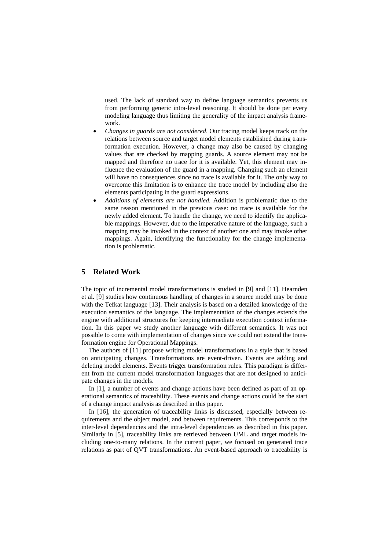used. The lack of standard way to define language semantics prevents us from performing generic intra-level reasoning. It should be done per every modeling language thus limiting the generality of the impact analysis framework.

- *Changes in guards are not considered*. Our tracing model keeps track on the relations between source and target model elements established during transformation execution. However, a change may also be caused by changing values that are checked by mapping guards. A source element may not be • mapped and therefore no trace for it is available. Yet, this element may influence the evaluation of the guard in a mapping. Changing such an element will have no consequences since no trace is available for it. The only way to overcome this limitation is to enhance the trace model by including also the elements participating in the guard expressions.
- ble mappings. However, due to the imperative nature of the language, such a *Additions of elements are not handled.* Addition is problematic due to the same reason mentioned in the previous case: no trace is available for the newly added element. To handle the change, we need to identify the applicamapping may be invoked in the context of another one and may invoke other mappings. Again, identifying the functionality for the change implementation is problematic.

# **5 Related Work**

The topic of incremental model transformations is studied in [9] and [11]. Hearnden et al. [9] studies how continuous handling of changes in a source model may be done with the Tefkat language [13]. Their analysis is based on a detailed knowledge of the execution semantics of the language. The implementation of the changes extends the engine with additional structures for keeping intermediate execution context information. In this paper we study another language with different semantics. It was not possible to come with implementation of changes since we could not extend the transformation engine for Operational Mappings.

ent from the current model transformation languages that are not designed to anticipat e changes in the models. The authors of [\[11](#page-10-5)] propose writing model transformations in a style that is based on anticipating changes. Transformations are event-driven. Events are adding and deleting model elements. Events trigger transformation rules. This paradigm is differ-

In [[1\]](#page-10-6), a number of events and change actions have been defined as part of an operational semantics of traceability. These events and change actions could be the start of a change impact analysis as described in this paper.

In [\[16](#page-10-6)], the generation of traceability links is discussed, especially between requi rements and the object model, and between requirements. This corresponds to the Similarly in [[5\]](#page-9-2), traceability links are retrieved between UML and target models inclu ding one-to-many relations. In the current paper, we focused on generated trace inter-level dependencies and the intra-level dependencies as described in this paper. relations as part of QVT transformations. An event-based approach to traceability is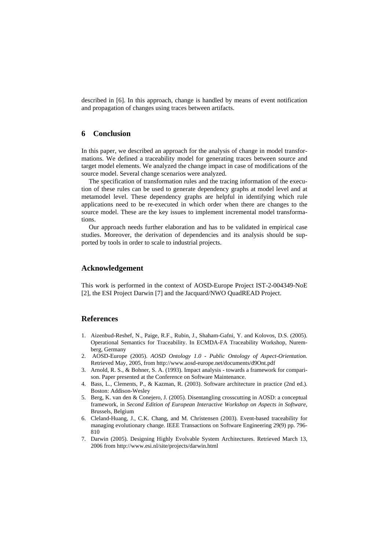described in [\[6](#page-10-7)]. In this approach, change is handled by means of event notification and propagation of changes using traces between artifacts.

# **6 Conclusion**

In this paper, we described an approach for the analysis of change in model transformations. We defined a traceability model for generating traces between source and target model elements. We analyzed the change impact in case of modifications of the source model. Several change scenarios were analyzed.

applications need to be re-executed in which order when there are changes to the so urce model. These are the key issues to implement incremental model transforma-The specification of transformation rules and the tracing information of the execution of these rules can be used to generate dependency graphs at model level and at metamodel level. These dependency graphs are helpful in identifying which rule tions.

Our approach needs further elaboration and has to be validated in empirical case studies. Moreover, the derivation of dependencies and its analysis should be supported by tools in order to scale to industrial projects.

### **Acknowledgement**

This work is performed in the context of AOSD-Europe Project IST-2-004349-NoE [2], the ESI Project Darwin [7] and the Jacquard/NWO QuadREAD Project.

## **References**

- <span id="page-9-2"></span>1. Aizenbud-Reshef, N., Paige, R.F., Rubin, J., Shaham-Gafni, Y. and Kolovos, D.S. (2005). Operational Semantics for Traceability. In ECMDA-FA Traceability Workshop, Nuremberg, Germany
- 2. AOSD-Europe (2005). *AOSD Ontology 1.0 Public Ontology of Aspect-Orientation.* Retrieved May, 2005, from http://www.aosd-europe.net/documents/d9Ont.pdf
- <span id="page-9-0"></span>3. Arnold, R. S., & Bohner, S. A. (1993). Impact analysis - towards a framework for comparison. Paper presented at the Conference on Software Maintenance.
- <span id="page-9-1"></span>4. Bass, L., Clements, P., & Kazman, R. (2003). Software architecture in practice (2nd ed.). Boston: Addison-Wesley
- 5. Berg, K. van den & Conejero, J. (2005). Disentangling crosscutting in AOSD: a conceptual framework, in *Second Edition of European Interactive Workshop on Aspects in Software*, Brussels, Belgium
- 6. Cleland-Huang, J., C.K. Chang, and M. Christensen (2003). Event-based traceability for managing evolutionary change. IEEE Transactions on Software Engineering 29(9) pp. 796- 810
- 7. Darwin (2005). Designing Highly Evolvable System Architectures. Retrieved March 13, 2006 from http://www.esi.nl/site/projects/darwin.html